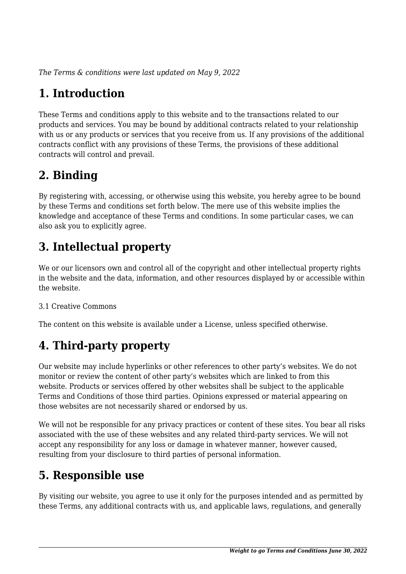*The Terms & conditions were last updated on May 9, 2022*

# **1. Introduction**

These Terms and conditions apply to this website and to the transactions related to our products and services. You may be bound by additional contracts related to your relationship with us or any products or services that you receive from us. If any provisions of the additional contracts conflict with any provisions of these Terms, the provisions of these additional contracts will control and prevail.

## **2. Binding**

By registering with, accessing, or otherwise using this website, you hereby agree to be bound by these Terms and conditions set forth below. The mere use of this website implies the knowledge and acceptance of these Terms and conditions. In some particular cases, we can also ask you to explicitly agree.

# **3. Intellectual property**

We or our licensors own and control all of the copyright and other intellectual property rights in the website and the data, information, and other resources displayed by or accessible within the website.

#### 3.1 Creative Commons

The content on this website is available under a License, unless specified otherwise.

# **4. Third-party property**

Our website may include hyperlinks or other references to other party's websites. We do not monitor or review the content of other party's websites which are linked to from this website. Products or services offered by other websites shall be subject to the applicable Terms and Conditions of those third parties. Opinions expressed or material appearing on those websites are not necessarily shared or endorsed by us.

We will not be responsible for any privacy practices or content of these sites. You bear all risks associated with the use of these websites and any related third-party services. We will not accept any responsibility for any loss or damage in whatever manner, however caused, resulting from your disclosure to third parties of personal information.

# **5. Responsible use**

By visiting our website, you agree to use it only for the purposes intended and as permitted by these Terms, any additional contracts with us, and applicable laws, regulations, and generally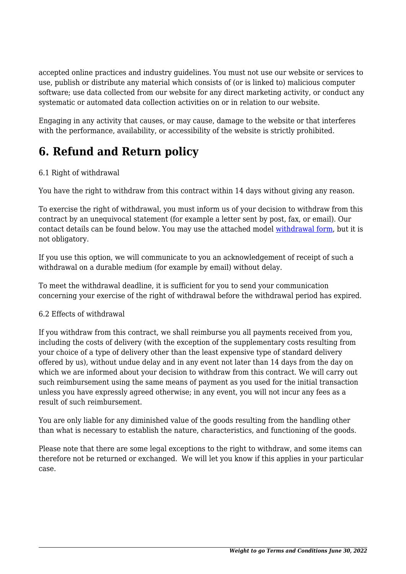accepted online practices and industry guidelines. You must not use our website or services to use, publish or distribute any material which consists of (or is linked to) malicious computer software; use data collected from our website for any direct marketing activity, or conduct any systematic or automated data collection activities on or in relation to our website.

Engaging in any activity that causes, or may cause, damage to the website or that interferes with the performance, availability, or accessibility of the website is strictly prohibited.

# **6. Refund and Return policy**

#### 6.1 Right of withdrawal

You have the right to withdraw from this contract within 14 days without giving any reason.

To exercise the right of withdrawal, you must inform us of your decision to withdraw from this contract by an unequivocal statement (for example a letter sent by post, fax, or email). Our contact details can be found below. You may use the attached model [withdrawal form](https://weighttogo.co/wp-content/uploads/complianz/withdrawal-forms/withdrawal-form-en.pdf), but it is not obligatory.

If you use this option, we will communicate to you an acknowledgement of receipt of such a withdrawal on a durable medium (for example by email) without delay.

To meet the withdrawal deadline, it is sufficient for you to send your communication concerning your exercise of the right of withdrawal before the withdrawal period has expired.

#### 6.2 Effects of withdrawal

If you withdraw from this contract, we shall reimburse you all payments received from you, including the costs of delivery (with the exception of the supplementary costs resulting from your choice of a type of delivery other than the least expensive type of standard delivery offered by us), without undue delay and in any event not later than 14 days from the day on which we are informed about your decision to withdraw from this contract. We will carry out such reimbursement using the same means of payment as you used for the initial transaction unless you have expressly agreed otherwise; in any event, you will not incur any fees as a result of such reimbursement.

You are only liable for any diminished value of the goods resulting from the handling other than what is necessary to establish the nature, characteristics, and functioning of the goods.

Please note that there are some legal exceptions to the right to withdraw, and some items can therefore not be returned or exchanged. We will let you know if this applies in your particular case.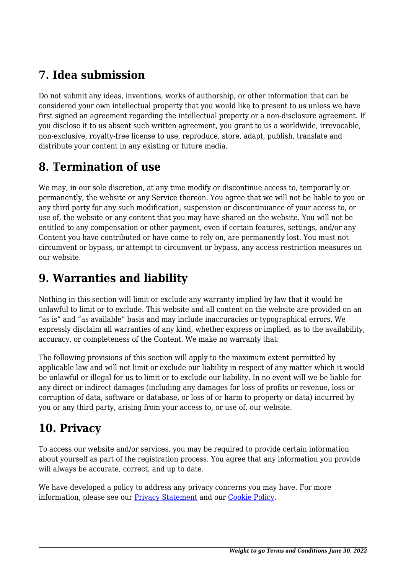# **7. Idea submission**

Do not submit any ideas, inventions, works of authorship, or other information that can be considered your own intellectual property that you would like to present to us unless we have first signed an agreement regarding the intellectual property or a non-disclosure agreement. If you disclose it to us absent such written agreement, you grant to us a worldwide, irrevocable, non-exclusive, royalty-free license to use, reproduce, store, adapt, publish, translate and distribute your content in any existing or future media.

# **8. Termination of use**

We may, in our sole discretion, at any time modify or discontinue access to, temporarily or permanently, the website or any Service thereon. You agree that we will not be liable to you or any third party for any such modification, suspension or discontinuance of your access to, or use of, the website or any content that you may have shared on the website. You will not be entitled to any compensation or other payment, even if certain features, settings, and/or any Content you have contributed or have come to rely on, are permanently lost. You must not circumvent or bypass, or attempt to circumvent or bypass, any access restriction measures on our website.

## **9. Warranties and liability**

Nothing in this section will limit or exclude any warranty implied by law that it would be unlawful to limit or to exclude. This website and all content on the website are provided on an "as is" and "as available" basis and may include inaccuracies or typographical errors. We expressly disclaim all warranties of any kind, whether express or implied, as to the availability, accuracy, or completeness of the Content. We make no warranty that:

The following provisions of this section will apply to the maximum extent permitted by applicable law and will not limit or exclude our liability in respect of any matter which it would be unlawful or illegal for us to limit or to exclude our liability. In no event will we be liable for any direct or indirect damages (including any damages for loss of profits or revenue, loss or corruption of data, software or database, or loss of or harm to property or data) incurred by you or any third party, arising from your access to, or use of, our website.

# **10. Privacy**

To access our website and/or services, you may be required to provide certain information about yourself as part of the registration process. You agree that any information you provide will always be accurate, correct, and up to date.

We have developed a policy to address any privacy concerns you may have. For more information, please see our [Privacy Statement](https://weighttogo.co/privacy-statement) and our [Cookie Policy](https://weighttogo.co/cookie-policy-us/).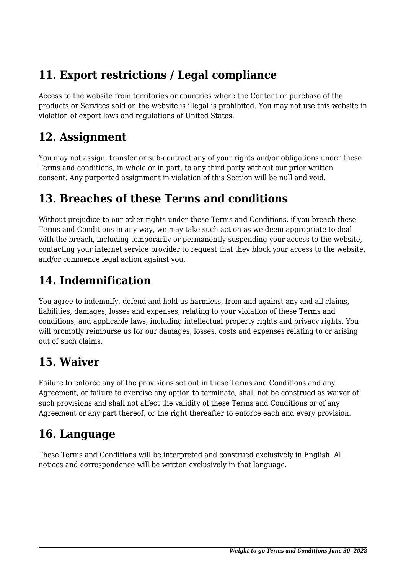# **11. Export restrictions / Legal compliance**

Access to the website from territories or countries where the Content or purchase of the products or Services sold on the website is illegal is prohibited. You may not use this website in violation of export laws and regulations of United States.

### **12. Assignment**

You may not assign, transfer or sub-contract any of your rights and/or obligations under these Terms and conditions, in whole or in part, to any third party without our prior written consent. Any purported assignment in violation of this Section will be null and void.

### **13. Breaches of these Terms and conditions**

Without prejudice to our other rights under these Terms and Conditions, if you breach these Terms and Conditions in any way, we may take such action as we deem appropriate to deal with the breach, including temporarily or permanently suspending your access to the website, contacting your internet service provider to request that they block your access to the website, and/or commence legal action against you.

# **14. Indemnification**

You agree to indemnify, defend and hold us harmless, from and against any and all claims, liabilities, damages, losses and expenses, relating to your violation of these Terms and conditions, and applicable laws, including intellectual property rights and privacy rights. You will promptly reimburse us for our damages, losses, costs and expenses relating to or arising out of such claims.

# **15. Waiver**

Failure to enforce any of the provisions set out in these Terms and Conditions and any Agreement, or failure to exercise any option to terminate, shall not be construed as waiver of such provisions and shall not affect the validity of these Terms and Conditions or of any Agreement or any part thereof, or the right thereafter to enforce each and every provision.

# **16. Language**

These Terms and Conditions will be interpreted and construed exclusively in English. All notices and correspondence will be written exclusively in that language.